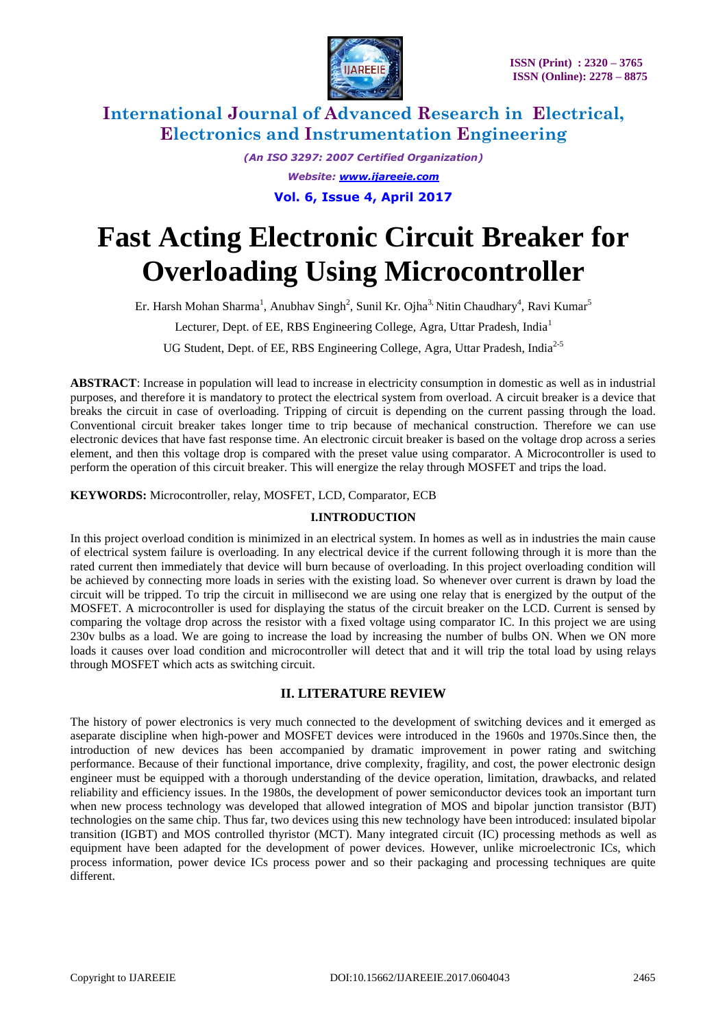

*(An ISO 3297: 2007 Certified Organization) Website: [www.ijareeie.com](http://www.ijareeie.com/)* **Vol. 6, Issue 4, April 2017**

# **Fast Acting Electronic Circuit Breaker for Overloading Using Microcontroller**

Er. Harsh Mohan Sharma<sup>1</sup>, Anubhav Singh<sup>2</sup>, Sunil Kr. Ojha<sup>3,</sup> Nitin Chaudhary<sup>4</sup>, Ravi Kumar<sup>5</sup>

Lecturer, Dept. of EE, RBS Engineering College, Agra, Uttar Pradesh, India<sup>1</sup>

UG Student, Dept. of EE, RBS Engineering College, Agra, Uttar Pradesh, India<sup>2-5</sup>

**ABSTRACT**: Increase in population will lead to increase in electricity consumption in domestic as well as in industrial purposes, and therefore it is mandatory to protect the electrical system from overload. A circuit breaker is a device that breaks the circuit in case of overloading. Tripping of circuit is depending on the current passing through the load. Conventional circuit breaker takes longer time to trip because of mechanical construction. Therefore we can use electronic devices that have fast response time. An electronic circuit breaker is based on the voltage drop across a series element, and then this voltage drop is compared with the preset value using comparator. A Microcontroller is used to perform the operation of this circuit breaker. This will energize the relay through MOSFET and trips the load.

**KEYWORDS:** Microcontroller, relay, MOSFET, LCD, Comparator, ECB

### **I.INTRODUCTION**

In this project overload condition is minimized in an electrical system. In homes as well as in industries the main cause of electrical system failure is overloading. In any electrical device if the current following through it is more than the rated current then immediately that device will burn because of overloading. In this project overloading condition will be achieved by connecting more loads in series with the existing load. So whenever over current is drawn by load the circuit will be tripped. To trip the circuit in millisecond we are using one relay that is energized by the output of the MOSFET. A microcontroller is used for displaying the status of the circuit breaker on the LCD. Current is sensed by comparing the voltage drop across the resistor with a fixed voltage using comparator IC. In this project we are using 230v bulbs as a load. We are going to increase the load by increasing the number of bulbs ON. When we ON more loads it causes over load condition and microcontroller will detect that and it will trip the total load by using relays through MOSFET which acts as switching circuit.

## **II. LITERATURE REVIEW**

The history of power electronics is very much connected to the development of switching devices and it emerged as aseparate discipline when high-power and MOSFET devices were introduced in the 1960s and 1970s.Since then, the introduction of new devices has been accompanied by dramatic improvement in power rating and switching performance. Because of their functional importance, drive complexity, fragility, and cost, the power electronic design engineer must be equipped with a thorough understanding of the device operation, limitation, drawbacks, and related reliability and efficiency issues. In the 1980s, the development of power semiconductor devices took an important turn when new process technology was developed that allowed integration of MOS and bipolar junction transistor (BJT) technologies on the same chip. Thus far, two devices using this new technology have been introduced: insulated bipolar transition (IGBT) and MOS controlled thyristor (MCT). Many integrated circuit (IC) processing methods as well as equipment have been adapted for the development of power devices. However, unlike microelectronic ICs, which process information, power device ICs process power and so their packaging and processing techniques are quite different.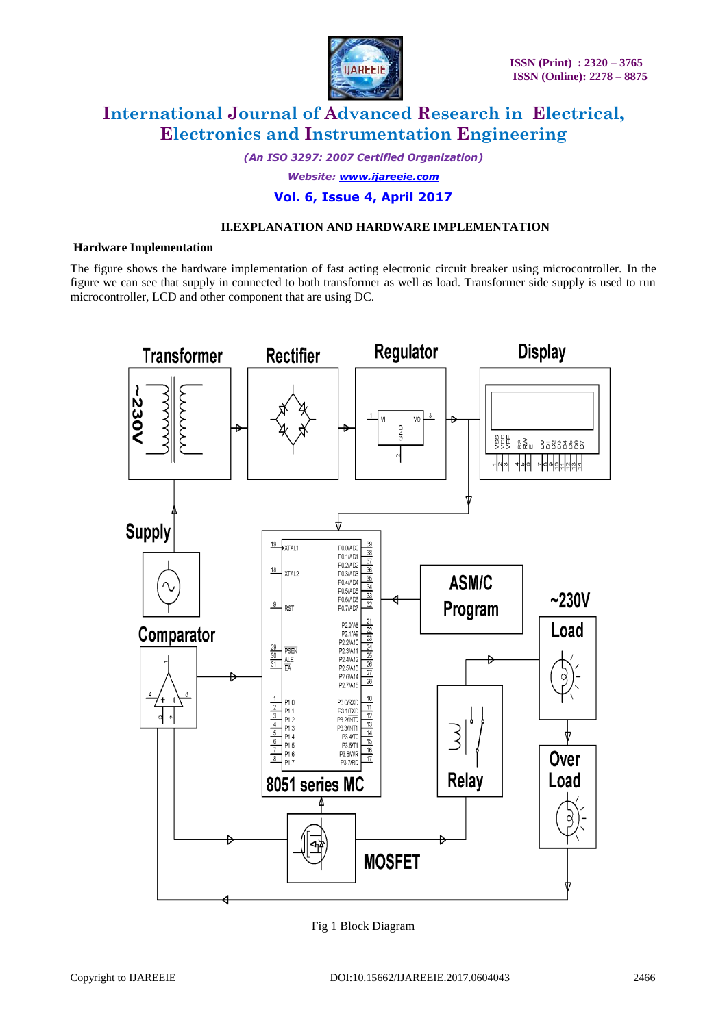

*(An ISO 3297: 2007 Certified Organization)*

*Website: [www.ijareeie.com](http://www.ijareeie.com/)*

## **Vol. 6, Issue 4, April 2017**

#### **II.EXPLANATION AND HARDWARE IMPLEMENTATION**

#### **Hardware Implementation**

The figure shows the hardware implementation of fast acting electronic circuit breaker using microcontroller. In the figure we can see that supply in connected to both transformer as well as load. Transformer side supply is used to run microcontroller, LCD and other component that are using DC.



Fig 1 Block Diagram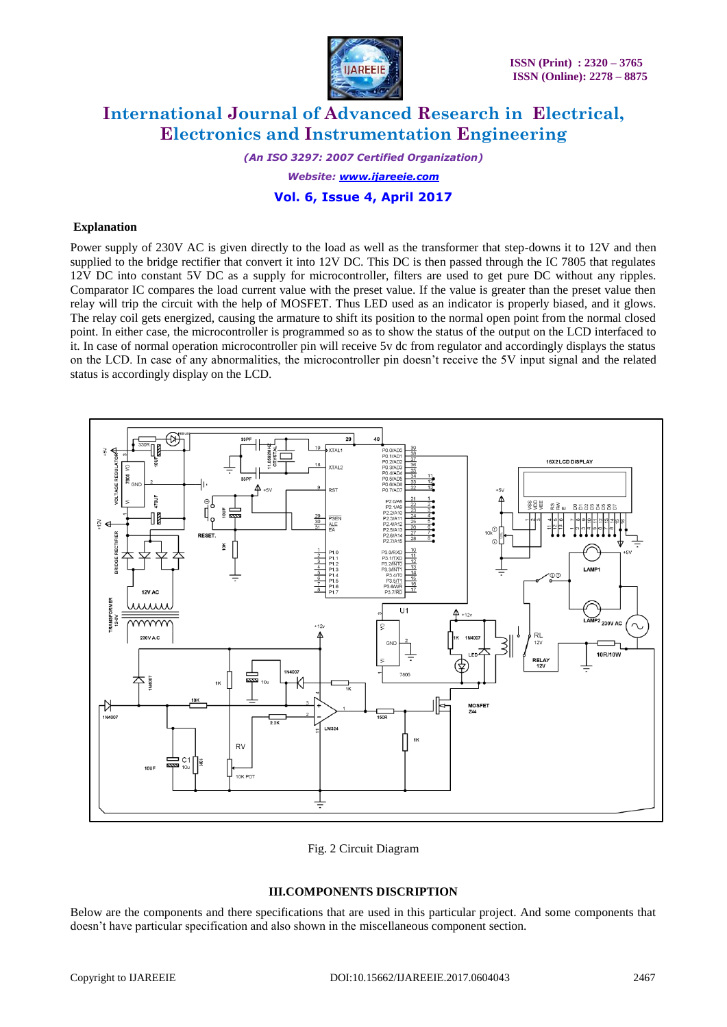

*(An ISO 3297: 2007 Certified Organization) Website: [www.ijareeie.com](http://www.ijareeie.com/)*

## **Vol. 6, Issue 4, April 2017**

#### **Explanation**

Power supply of 230V AC is given directly to the load as well as the transformer that step-downs it to 12V and then supplied to the bridge rectifier that convert it into 12V DC. This DC is then passed through the IC 7805 that regulates 12V DC into constant 5V DC as a supply for microcontroller, filters are used to get pure DC without any ripples. Comparator IC compares the load current value with the preset value. If the value is greater than the preset value then relay will trip the circuit with the help of MOSFET. Thus LED used as an indicator is properly biased, and it glows. The relay coil gets energized, causing the armature to shift its position to the normal open point from the normal closed point. In either case, the microcontroller is programmed so as to show the status of the output on the LCD interfaced to it. In case of normal operation microcontroller pin will receive 5v dc from regulator and accordingly displays the status on the LCD. In case of any abnormalities, the microcontroller pin doesn't receive the 5V input signal and the related status is accordingly display on the LCD.



Fig. 2 Circuit Diagram

#### **III.COMPONENTS DISCRIPTION**

Below are the components and there specifications that are used in this particular project. And some components that doesn't have particular specification and also shown in the miscellaneous component section.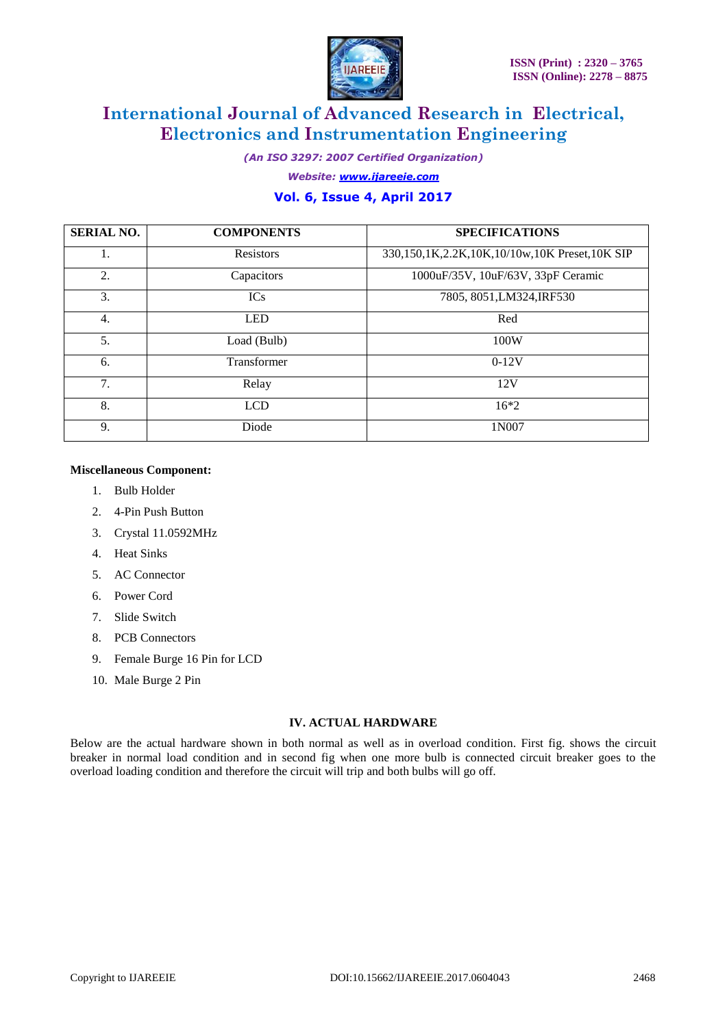

*(An ISO 3297: 2007 Certified Organization)*

*Website: [www.ijareeie.com](http://www.ijareeie.com/)*

## **Vol. 6, Issue 4, April 2017**

| <b>SERIAL NO.</b> | <b>COMPONENTS</b> | <b>SPECIFICATIONS</b>                         |
|-------------------|-------------------|-----------------------------------------------|
| 1.                | <b>Resistors</b>  | 330,150,1K,2.2K,10K,10/10w,10K Preset,10K SIP |
| 2.                | Capacitors        | 1000uF/35V, 10uF/63V, 33pF Ceramic            |
| 3.                | <b>ICs</b>        | 7805, 8051, LM324, IRF530                     |
| $\overline{4}$ .  | <b>LED</b>        | Red                                           |
| 5.                | Load (Bulb)       | 100W                                          |
| 6.                | Transformer       | $0-12V$                                       |
| 7.                | Relay             | 12V                                           |
| 8.                | <b>LCD</b>        | $16*2$                                        |
| 9.                | Diode             | 1N007                                         |

#### **Miscellaneous Component:**

- 1. Bulb Holder
- 2. 4-Pin Push Button
- 3. Crystal 11.0592MHz
- 4. Heat Sinks
- 5. AC Connector
- 6. Power Cord
- 7. Slide Switch
- 8. PCB Connectors
- 9. Female Burge 16 Pin for LCD
- 10. Male Burge 2 Pin

#### **IV. ACTUAL HARDWARE**

Below are the actual hardware shown in both normal as well as in overload condition. First fig. shows the circuit breaker in normal load condition and in second fig when one more bulb is connected circuit breaker goes to the overload loading condition and therefore the circuit will trip and both bulbs will go off.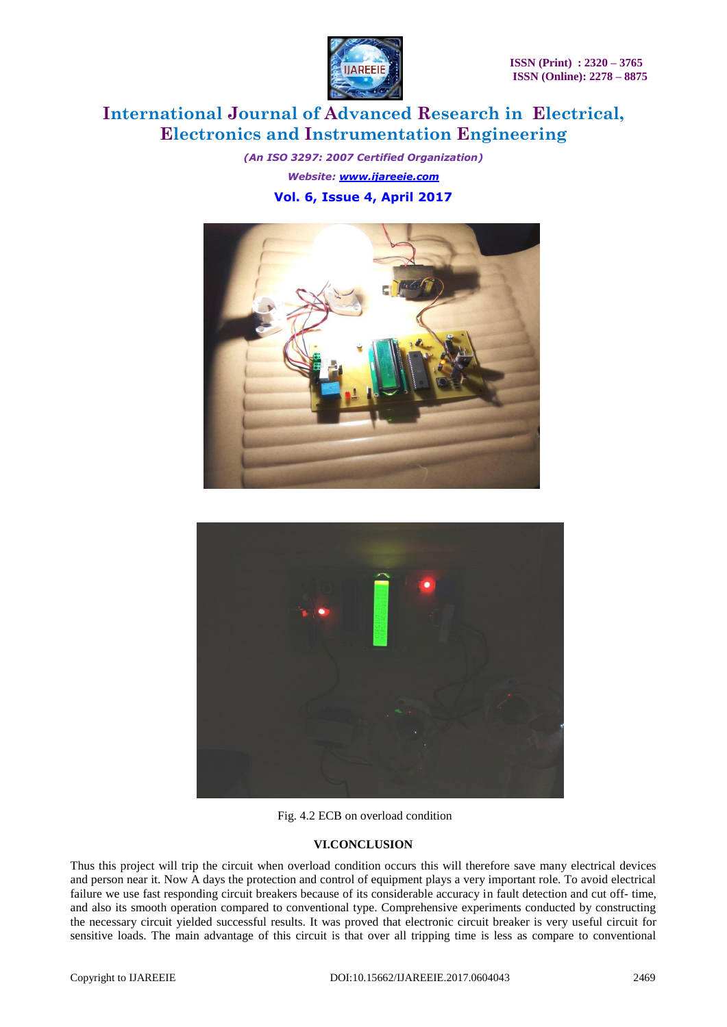

*(An ISO 3297: 2007 Certified Organization) Website: [www.ijareeie.com](http://www.ijareeie.com/)* **Vol. 6, Issue 4, April 2017**





Fig. 4.2 ECB on overload condition

## **VI.CONCLUSION**

Thus this project will trip the circuit when overload condition occurs this will therefore save many electrical devices and person near it. Now A days the protection and control of equipment plays a very important role. To avoid electrical failure we use fast responding circuit breakers because of its considerable accuracy in fault detection and cut off- time, and also its smooth operation compared to conventional type. Comprehensive experiments conducted by constructing the necessary circuit yielded successful results. It was proved that electronic circuit breaker is very useful circuit for sensitive loads. The main advantage of this circuit is that over all tripping time is less as compare to conventional